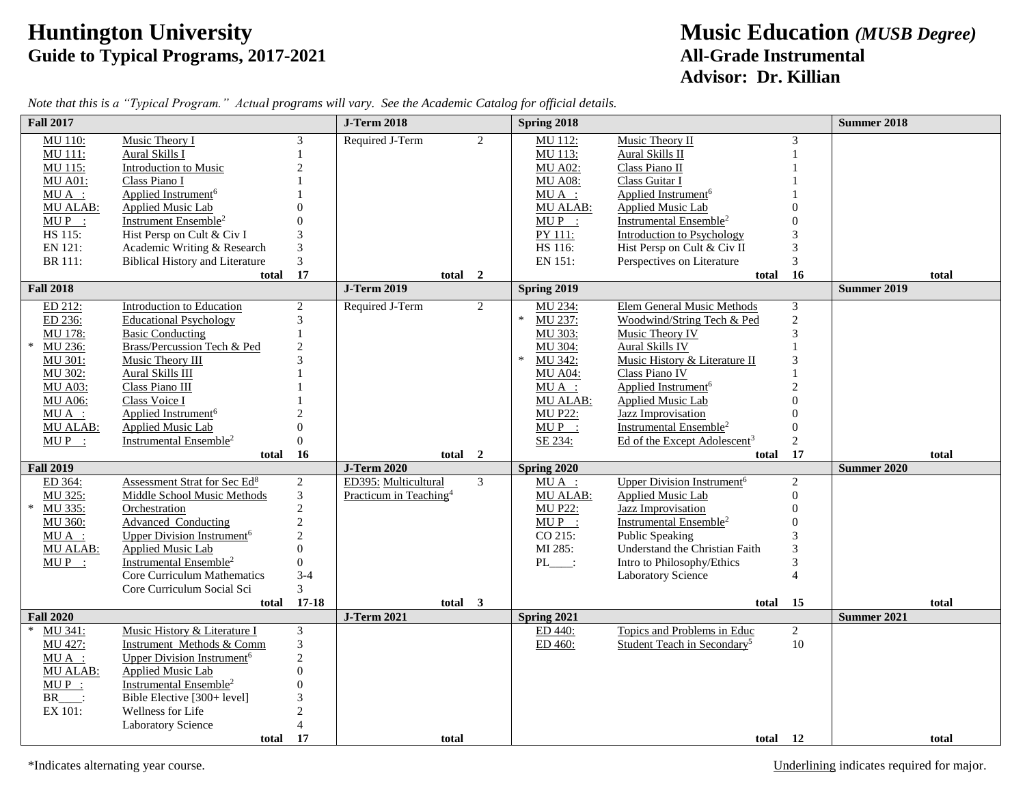## **Guide to Typical Programs, 2017-2021**

## **Huntington University**<br> **Guide to Typical Programs, 2017-2021**<br> **All-Grade Instrumental Advisor: Dr. Killian**

| <b>Fall 2017</b>    |                                                      |                | <b>J-Term 2018</b>                 |                | Spring 2018        |                                                          |                      | <b>Summer 2018</b> |       |
|---------------------|------------------------------------------------------|----------------|------------------------------------|----------------|--------------------|----------------------------------------------------------|----------------------|--------------------|-------|
| MU 110:             | Music Theory I                                       | 3              | Required J-Term                    | $\overline{2}$ | MU 112:            | Music Theory II                                          | 3                    |                    |       |
| MU 111:             | Aural Skills I                                       |                |                                    |                | MU 113:            | Aural Skills II                                          |                      |                    |       |
| MU 115:             | Introduction to Music                                | $\overline{c}$ |                                    |                | <b>MU A02:</b>     | Class Piano II                                           |                      |                    |       |
| <b>MU A01:</b>      | Class Piano I                                        |                |                                    |                | <b>MU A08:</b>     | Class Guitar I                                           |                      |                    |       |
| $MU A$ :            | Applied Instrument <sup>6</sup>                      |                |                                    |                | $MU A$ :           | Applied Instrument <sup>6</sup>                          |                      |                    |       |
| MU ALAB:            | Applied Music Lab                                    |                |                                    |                | <b>MU ALAB:</b>    | Applied Music Lab                                        |                      |                    |       |
| $MUP$ :             | Instrument Ensemble <sup>2</sup>                     |                |                                    |                | $MUP$ :            | Instrumental Ensemble <sup>2</sup>                       |                      |                    |       |
| HS 115:             | Hist Persp on Cult & Civ I                           |                |                                    |                | PY 111:            | <b>Introduction to Psychology</b>                        | 3                    |                    |       |
| EN 121:             | Academic Writing & Research                          | 3              |                                    |                | HS 116:            | Hist Persp on Cult & Civ II                              | $\mathfrak 3$        |                    |       |
| BR 111:             | <b>Biblical History and Literature</b>               | 3              |                                    |                | EN 151:            | Perspectives on Literature                               | $\mathfrak{Z}$       |                    |       |
| <b>Fall 2018</b>    | total                                                | 17             | total 2<br><b>J-Term 2019</b>      |                | Spring 2019        | total                                                    | 16                   | <b>Summer 2019</b> | total |
|                     |                                                      |                |                                    |                |                    |                                                          |                      |                    |       |
| ED 212:             | <b>Introduction to Education</b>                     | $\overline{c}$ | Required J-Term                    | $\overline{2}$ | MU 234:<br>$\ast$  | Elem General Music Methods                               | $\mathfrak{Z}$       |                    |       |
| ED 236:             | <b>Educational Psychology</b>                        | 3              |                                    |                | MU 237:            | Woodwind/String Tech & Ped                               | $\overline{2}$       |                    |       |
| MU 178:             | <b>Basic Conducting</b>                              |                |                                    |                | MU 303:            | Music Theory IV                                          | 3                    |                    |       |
| $\ast$<br>MU 236:   | Brass/Percussion Tech & Ped                          |                |                                    |                | MU 304:            | Aural Skills IV                                          |                      |                    |       |
| MU 301:             | Music Theory III                                     |                |                                    |                | $\ast$<br>MU 342:  | Music History & Literature II                            | 3                    |                    |       |
| MU 302:             | Aural Skills III                                     |                |                                    |                | <b>MU A04:</b>     | Class Piano IV                                           |                      |                    |       |
| <b>MU A03:</b>      | Class Piano III                                      |                |                                    |                | $MU A$ :           | Applied Instrument <sup>6</sup>                          | $\overline{2}$       |                    |       |
| <b>MU A06:</b>      | Class Voice I                                        |                |                                    |                | MU ALAB:           | <b>Applied Music Lab</b>                                 | $\Omega$<br>$\Omega$ |                    |       |
| $MU A$ :            | Applied Instrument <sup>6</sup><br>Applied Music Lab | $\Omega$       |                                    |                | <b>MU P22:</b>     | Jazz Improvisation<br>Instrumental Ensemble <sup>2</sup> |                      |                    |       |
| MU ALAB:<br>$MUP$ : |                                                      | $\Omega$       |                                    |                | $MUP$ :<br>SE 234: |                                                          | $\overline{0}$       |                    |       |
|                     | Instrumental Ensemble <sup>2</sup>                   |                |                                    |                |                    | Ed of the Except Adolescent <sup>3</sup>                 | $\overline{2}$       |                    |       |
| <b>Fall 2019</b>    | total                                                | 16             | total<br><b>J-Term 2020</b>        | $\overline{2}$ | Spring 2020        | total                                                    | 17                   | <b>Summer 2020</b> | total |
| ED 364:             | Assessment Strat for Sec Ed <sup>8</sup>             | $\overline{c}$ | ED395: Multicultural               | $\mathfrak{Z}$ | $MU A$ :           | <b>Upper Division Instrument<sup>6</sup></b>             | $\overline{2}$       |                    |       |
| MU 325:             | <b>Middle School Music Methods</b>                   | $\mathfrak{Z}$ | Practicum in Teaching <sup>4</sup> |                | MU ALAB:           | <b>Applied Music Lab</b>                                 | $\theta$             |                    |       |
| MU 335:<br>$\ast$   | Orchestration                                        | $\overline{2}$ |                                    |                | <b>MU P22:</b>     | Jazz Improvisation                                       | $\Omega$             |                    |       |
| MU 360:             | <b>Advanced Conducting</b>                           | $\overline{2}$ |                                    |                | $MUP$ :            | Instrumental Ensemble <sup>2</sup>                       |                      |                    |       |
| $MU A$ :            | <b>Upper Division Instrument<sup>6</sup></b>         | $\overline{c}$ |                                    |                | CO 215:            | <b>Public Speaking</b>                                   | 3                    |                    |       |
| MU ALAB:            | <b>Applied Music Lab</b>                             | $\Omega$       |                                    |                | MI 285:            | Understand the Christian Faith                           | 3                    |                    |       |
| $MUP$ :             | Instrumental Ensemble <sup>2</sup>                   | $\mathbf{0}$   |                                    |                | $PL$ :             | Intro to Philosophy/Ethics                               | 3                    |                    |       |
|                     | Core Curriculum Mathematics                          | $3 - 4$        |                                    |                |                    | <b>Laboratory Science</b>                                | $\overline{4}$       |                    |       |
|                     | Core Curriculum Social Sci                           | 3              |                                    |                |                    |                                                          |                      |                    |       |
|                     | total                                                | $17 - 18$      | total 3                            |                |                    | total                                                    | 15                   |                    | total |
| <b>Fall 2020</b>    |                                                      |                | <b>J-Term 2021</b>                 |                | Spring 2021        |                                                          |                      | <b>Summer 2021</b> |       |
| MU 341:             | Music History & Literature I                         | 3              |                                    |                | ED 440:            | Topics and Problems in Educ                              | $\overline{2}$       |                    |       |
| MU 427:             | Instrument Methods & Comm                            | $\mathfrak{Z}$ |                                    |                | ED 460:            | Student Teach in Secondary <sup>5</sup>                  | 10                   |                    |       |
| $MU A$ :            | Upper Division Instrument <sup>6</sup>               | $\mathfrak{D}$ |                                    |                |                    |                                                          |                      |                    |       |
| MU ALAB:            | <b>Applied Music Lab</b>                             | $\Omega$       |                                    |                |                    |                                                          |                      |                    |       |
| $MUP$ :             | Instrumental Ensemble <sup>2</sup>                   | $\Omega$       |                                    |                |                    |                                                          |                      |                    |       |
| $BR$ <sub>:</sub>   | Bible Elective [300+ level]                          | $\mathcal{R}$  |                                    |                |                    |                                                          |                      |                    |       |
| EX 101:             | Wellness for Life                                    |                |                                    |                |                    |                                                          |                      |                    |       |
|                     | Laboratory Science                                   |                |                                    |                |                    |                                                          |                      |                    |       |
|                     | total                                                | 17             | total                              |                |                    | total 12                                                 |                      |                    | total |

*Note that this is a "Typical Program." Actual programs will vary. See the Academic Catalog for official details.*

\*Indicates alternating year course. Underlining indicates required for major.